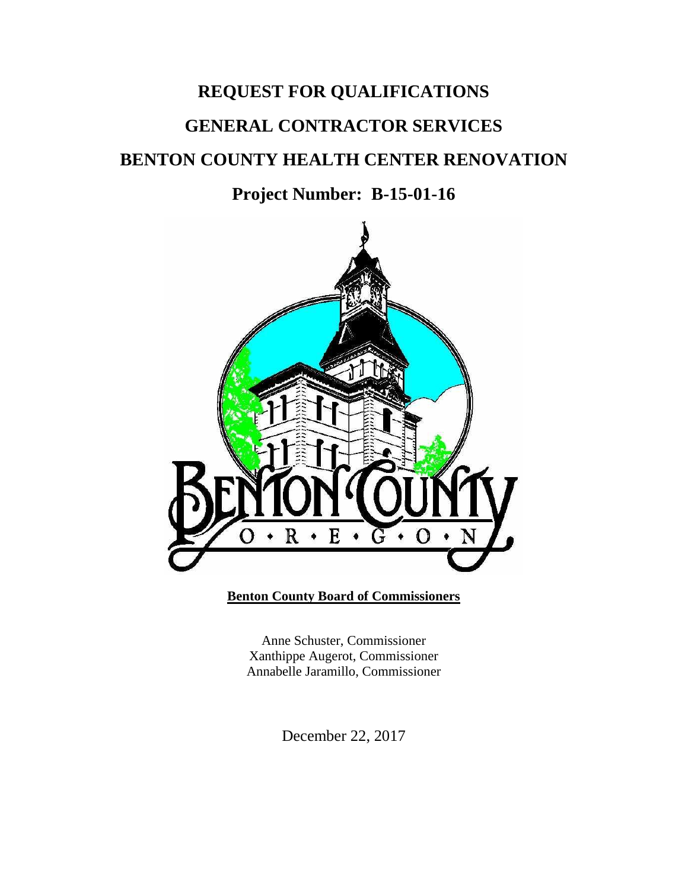# **REQUEST FOR QUALIFICATIONS GENERAL CONTRACTOR SERVICES BENTON COUNTY HEALTH CENTER RENOVATION**

**Project Number: B-15-01-16**



**Benton County Board of Commissioners**

Anne Schuster, Commissioner Xanthippe Augerot, Commissioner Annabelle Jaramillo, Commissioner

December 22, 2017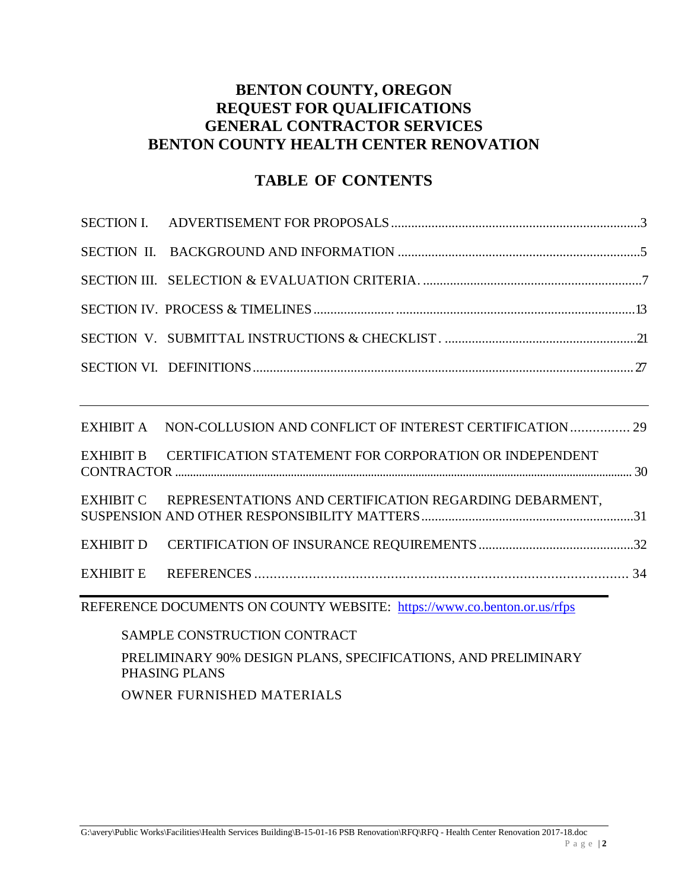## **BENTON COUNTY, OREGON REQUEST FOR QUALIFICATIONS GENERAL CONTRACTOR SERVICES BENTON COUNTY HEALTH CENTER RENOVATION**

## **TABLE OF CONTENTS**

| EXHIBIT A NON-COLLUSION AND CONFLICT OF INTEREST CERTIFICATION 29       |  |
|-------------------------------------------------------------------------|--|
| EXHIBIT B CERTIFICATION STATEMENT FOR CORPORATION OR INDEPENDENT        |  |
| EXHIBIT C REPRESENTATIONS AND CERTIFICATION REGARDING DEBARMENT,        |  |
|                                                                         |  |
|                                                                         |  |
| REFERENCE DOCUMENTS ON COUNTY WEBSITE: https://www.co.benton.or.us/rfps |  |

SAMPLE CONSTRUCTION CONTRACT PRELIMINARY 90% DESIGN PLANS, SPECIFICATIONS, AND PRELIMINARY PHASING PLANS OWNER FURNISHED MATERIALS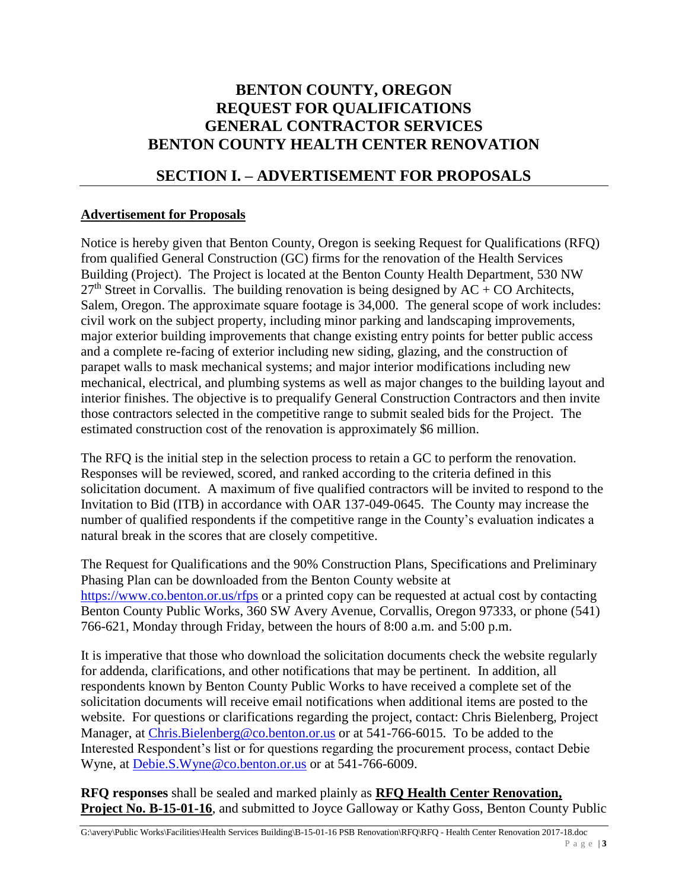## **BENTON COUNTY, OREGON REQUEST FOR QUALIFICATIONS GENERAL CONTRACTOR SERVICES BENTON COUNTY HEALTH CENTER RENOVATION**

## **SECTION I. – ADVERTISEMENT FOR PROPOSALS**

#### **Advertisement for Proposals**

Notice is hereby given that Benton County, Oregon is seeking Request for Qualifications (RFQ) from qualified General Construction (GC) firms for the renovation of the Health Services Building (Project). The Project is located at the Benton County Health Department, 530 NW  $27<sup>th</sup>$  Street in Corvallis. The building renovation is being designed by AC + CO Architects, Salem, Oregon. The approximate square footage is 34,000. The general scope of work includes: civil work on the subject property, including minor parking and landscaping improvements, major exterior building improvements that change existing entry points for better public access and a complete re-facing of exterior including new siding, glazing, and the construction of parapet walls to mask mechanical systems; and major interior modifications including new mechanical, electrical, and plumbing systems as well as major changes to the building layout and interior finishes. The objective is to prequalify General Construction Contractors and then invite those contractors selected in the competitive range to submit sealed bids for the Project. The estimated construction cost of the renovation is approximately \$6 million.

The RFQ is the initial step in the selection process to retain a GC to perform the renovation. Responses will be reviewed, scored, and ranked according to the criteria defined in this solicitation document. A maximum of five qualified contractors will be invited to respond to the Invitation to Bid (ITB) in accordance with OAR 137-049-0645. The County may increase the number of qualified respondents if the competitive range in the County's evaluation indicates a natural break in the scores that are closely competitive.

The Request for Qualifications and the 90% Construction Plans, Specifications and Preliminary Phasing Plan can be downloaded from the Benton County website at <https://www.co.benton.or.us/rfps> or a printed copy can be requested at actual cost by contacting Benton County Public Works, 360 SW Avery Avenue, Corvallis, Oregon 97333, or phone (541) 766-621, Monday through Friday, between the hours of 8:00 a.m. and 5:00 p.m.

It is imperative that those who download the solicitation documents check the website regularly for addenda, clarifications, and other notifications that may be pertinent. In addition, all respondents known by Benton County Public Works to have received a complete set of the solicitation documents will receive email notifications when additional items are posted to the website. For questions or clarifications regarding the project, contact: Chris Bielenberg, Project Manager, at [Chris.Bielenberg@co.benton.or.us](mailto:Chris.Bielenberg@co.benton.or.us) or at 541-766-6015. To be added to the Interested Respondent's list or for questions regarding the procurement process, contact Debie Wyne, at [Debie.S.Wyne@co.benton.or.us](mailto:Debie.S.Wyne@co.benton.or.us) or at 541-766-6009.

**RFQ responses** shall be sealed and marked plainly as **RFQ Health Center Renovation, Project No. B-15-01-16**, and submitted to Joyce Galloway or Kathy Goss, Benton County Public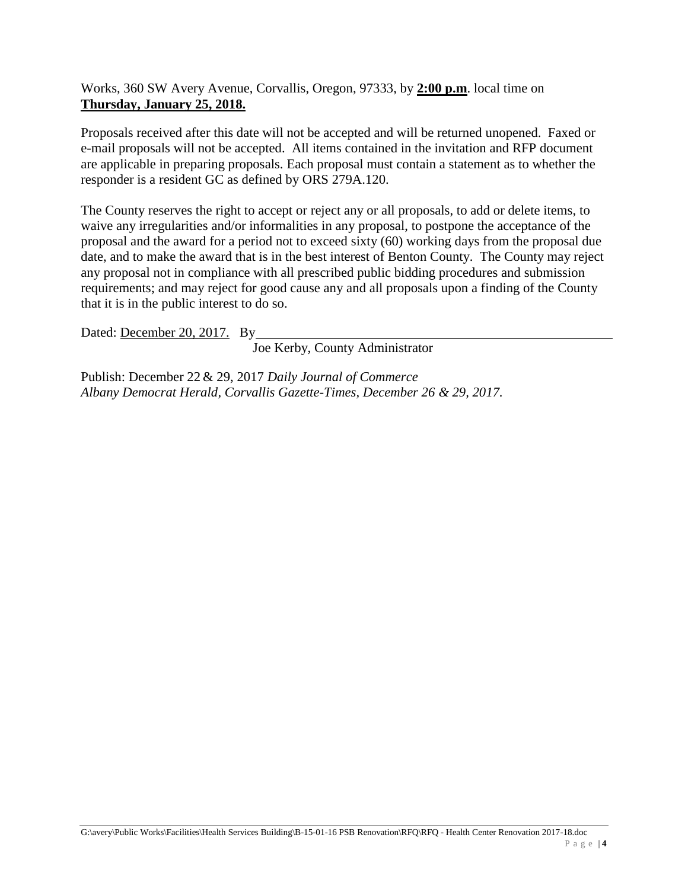Works, 360 SW Avery Avenue, Corvallis, Oregon, 97333, by **2:00 p.m**. local time on **Thursday, January 25, 2018.**

Proposals received after this date will not be accepted and will be returned unopened. Faxed or e-mail proposals will not be accepted. All items contained in the invitation and RFP document are applicable in preparing proposals. Each proposal must contain a statement as to whether the responder is a resident GC as defined by ORS 279A.120.

The County reserves the right to accept or reject any or all proposals, to add or delete items, to waive any irregularities and/or informalities in any proposal, to postpone the acceptance of the proposal and the award for a period not to exceed sixty (60) working days from the proposal due date, and to make the award that is in the best interest of Benton County. The County may reject any proposal not in compliance with all prescribed public bidding procedures and submission requirements; and may reject for good cause any and all proposals upon a finding of the County that it is in the public interest to do so.

Dated: December 20, 2017. By

Joe Kerby, County Administrator

Publish: December 22 & 29, 2017 *Daily Journal of Commerce Albany Democrat Herald, Corvallis Gazette-Times, December 26 & 29, 2017.*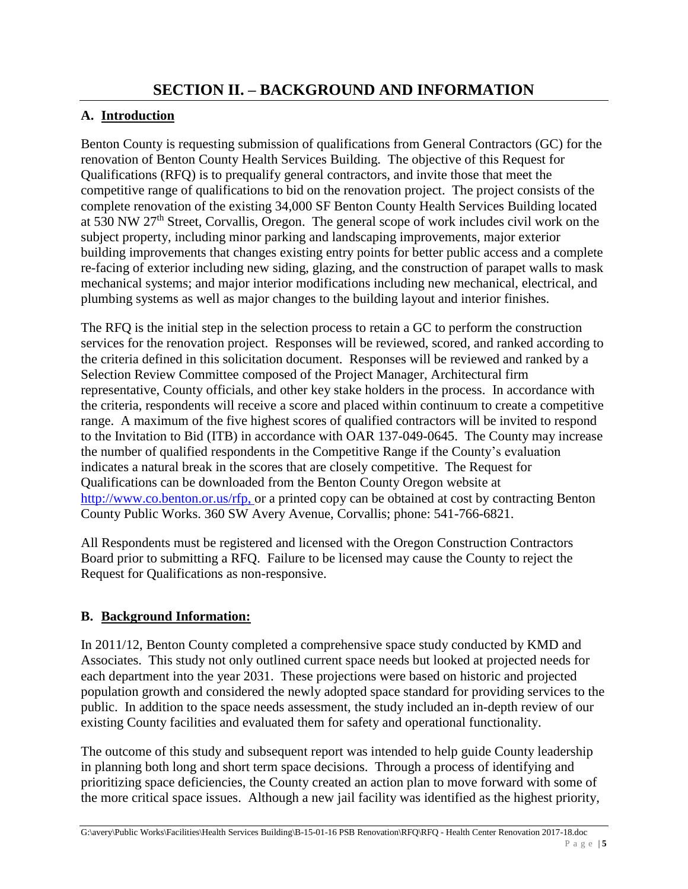## **A. Introduction**

Benton County is requesting submission of qualifications from General Contractors (GC) for the renovation of Benton County Health Services Building. The objective of this Request for Qualifications (RFQ) is to prequalify general contractors, and invite those that meet the competitive range of qualifications to bid on the renovation project. The project consists of the complete renovation of the existing 34,000 SF Benton County Health Services Building located at 530 NW 27th Street, Corvallis, Oregon. The general scope of work includes civil work on the subject property, including minor parking and landscaping improvements, major exterior building improvements that changes existing entry points for better public access and a complete re-facing of exterior including new siding, glazing, and the construction of parapet walls to mask mechanical systems; and major interior modifications including new mechanical, electrical, and plumbing systems as well as major changes to the building layout and interior finishes.

The RFQ is the initial step in the selection process to retain a GC to perform the construction services for the renovation project. Responses will be reviewed, scored, and ranked according to the criteria defined in this solicitation document. Responses will be reviewed and ranked by a Selection Review Committee composed of the Project Manager, Architectural firm representative, County officials, and other key stake holders in the process. In accordance with the criteria, respondents will receive a score and placed within continuum to create a competitive range. A maximum of the five highest scores of qualified contractors will be invited to respond to the Invitation to Bid (ITB) in accordance with OAR 137-049-0645. The County may increase the number of qualified respondents in the Competitive Range if the County's evaluation indicates a natural break in the scores that are closely competitive. The Request for Qualifications can be downloaded from the Benton County Oregon website at [http://www.co.benton.or.us/rfp, o](http://www.co.benton.or.us/rfp,)r a printed copy can be obtained at cost by contracting Benton County Public Works. 360 SW Avery Avenue, Corvallis; phone: 541-766-6821.

All Respondents must be registered and licensed with the Oregon Construction Contractors Board prior to submitting a RFQ. Failure to be licensed may cause the County to reject the Request for Qualifications as non-responsive.

## **B. Background Information:**

In 2011/12, Benton County completed a comprehensive space study conducted by KMD and Associates. This study not only outlined current space needs but looked at projected needs for each department into the year 2031. These projections were based on historic and projected population growth and considered the newly adopted space standard for providing services to the public. In addition to the space needs assessment, the study included an in-depth review of our existing County facilities and evaluated them for safety and operational functionality.

The outcome of this study and subsequent report was intended to help guide County leadership in planning both long and short term space decisions. Through a process of identifying and prioritizing space deficiencies, the County created an action plan to move forward with some of the more critical space issues. Although a new jail facility was identified as the highest priority,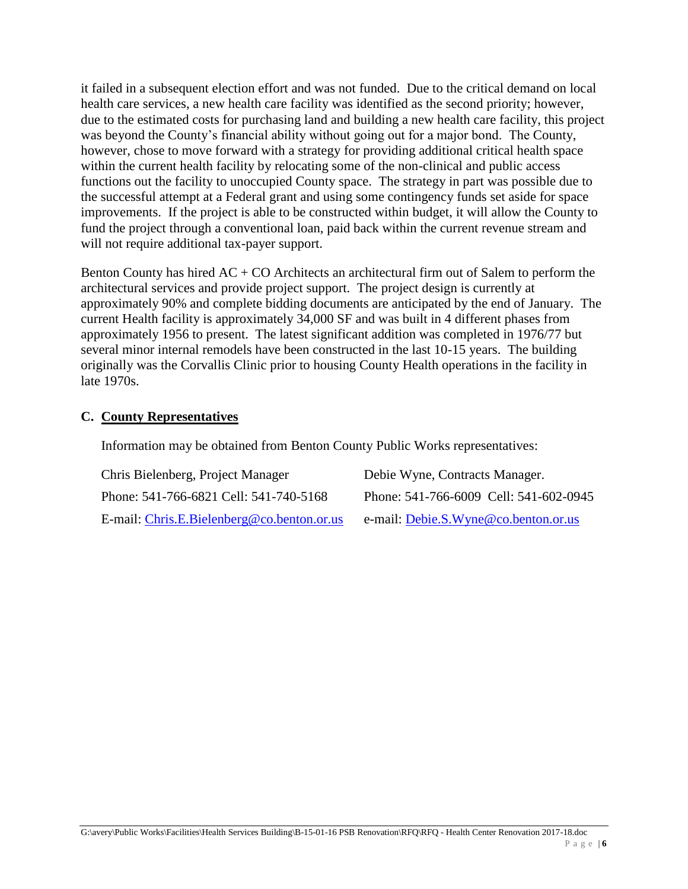it failed in a subsequent election effort and was not funded. Due to the critical demand on local health care services, a new health care facility was identified as the second priority; however, due to the estimated costs for purchasing land and building a new health care facility, this project was beyond the County's financial ability without going out for a major bond. The County, however, chose to move forward with a strategy for providing additional critical health space within the current health facility by relocating some of the non-clinical and public access functions out the facility to unoccupied County space. The strategy in part was possible due to the successful attempt at a Federal grant and using some contingency funds set aside for space improvements. If the project is able to be constructed within budget, it will allow the County to fund the project through a conventional loan, paid back within the current revenue stream and will not require additional tax-payer support.

Benton County has hired  $AC + CO$  Architects an architectural firm out of Salem to perform the architectural services and provide project support. The project design is currently at approximately 90% and complete bidding documents are anticipated by the end of January. The current Health facility is approximately 34,000 SF and was built in 4 different phases from approximately 1956 to present. The latest significant addition was completed in 1976/77 but several minor internal remodels have been constructed in the last 10-15 years. The building originally was the Corvallis Clinic prior to housing County Health operations in the facility in late 1970s.

#### **C. County Representatives**

Information may be obtained from Benton County Public Works representatives:

| Chris Bielenberg, Project Manager          | Debie Wyne, Contracts Manager.         |
|--------------------------------------------|----------------------------------------|
| Phone: 541-766-6821 Cell: 541-740-5168     | Phone: 541-766-6009 Cell: 541-602-0945 |
| E-mail: Chris.E.Bielenberg@co.benton.or.us | e-mail: Debie.S.Wyne@co.benton.or.us   |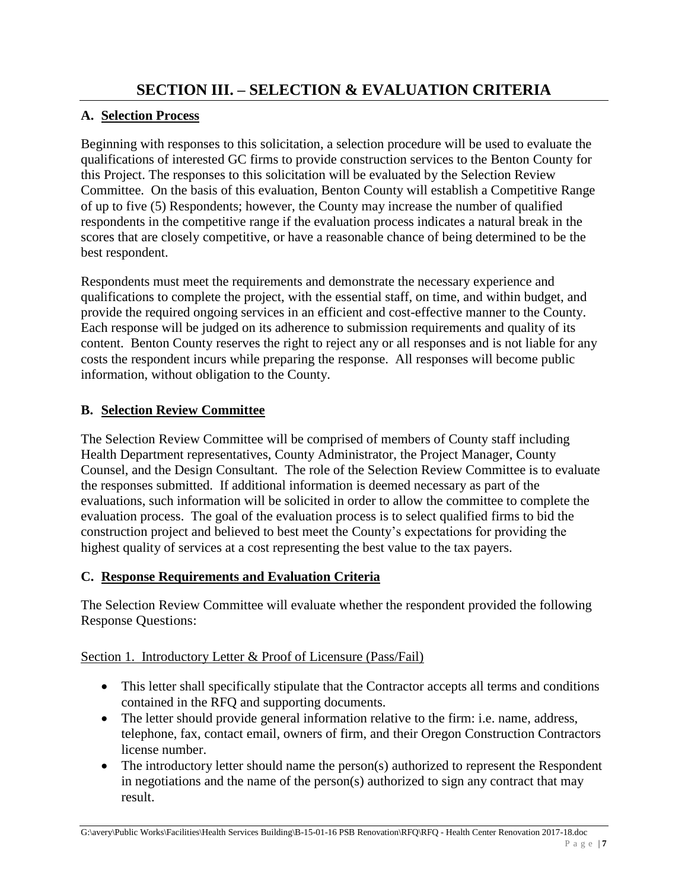## **A. Selection Process**

Beginning with responses to this solicitation, a selection procedure will be used to evaluate the qualifications of interested GC firms to provide construction services to the Benton County for this Project. The responses to this solicitation will be evaluated by the Selection Review Committee. On the basis of this evaluation, Benton County will establish a Competitive Range of up to five (5) Respondents; however, the County may increase the number of qualified respondents in the competitive range if the evaluation process indicates a natural break in the scores that are closely competitive, or have a reasonable chance of being determined to be the best respondent.

Respondents must meet the requirements and demonstrate the necessary experience and qualifications to complete the project, with the essential staff, on time, and within budget, and provide the required ongoing services in an efficient and cost-effective manner to the County. Each response will be judged on its adherence to submission requirements and quality of its content. Benton County reserves the right to reject any or all responses and is not liable for any costs the respondent incurs while preparing the response. All responses will become public information, without obligation to the County.

## **B. Selection Review Committee**

The Selection Review Committee will be comprised of members of County staff including Health Department representatives, County Administrator, the Project Manager, County Counsel, and the Design Consultant. The role of the Selection Review Committee is to evaluate the responses submitted. If additional information is deemed necessary as part of the evaluations, such information will be solicited in order to allow the committee to complete the evaluation process. The goal of the evaluation process is to select qualified firms to bid the construction project and believed to best meet the County's expectations for providing the highest quality of services at a cost representing the best value to the tax payers.

## **C. Response Requirements and Evaluation Criteria**

The Selection Review Committee will evaluate whether the respondent provided the following Response Questions:

## Section 1. Introductory Letter & Proof of Licensure (Pass/Fail)

- This letter shall specifically stipulate that the Contractor accepts all terms and conditions contained in the RFQ and supporting documents.
- The letter should provide general information relative to the firm: i.e. name, address, telephone, fax, contact email, owners of firm, and their Oregon Construction Contractors license number.
- The introductory letter should name the person(s) authorized to represent the Respondent in negotiations and the name of the person(s) authorized to sign any contract that may result.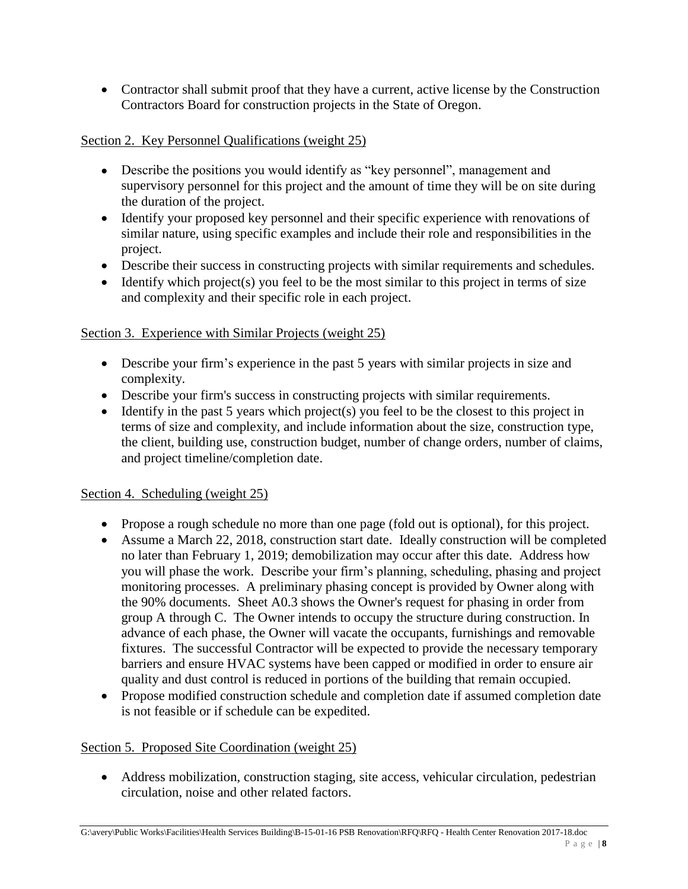Contractor shall submit proof that they have a current, active license by the Construction Contractors Board for construction projects in the State of Oregon.

#### Section 2. Key Personnel Qualifications (weight 25)

- Describe the positions you would identify as "key personnel", management and supervisory personnel for this project and the amount of time they will be on site during the duration of the project.
- Identify your proposed key personnel and their specific experience with renovations of similar nature, using specific examples and include their role and responsibilities in the project.
- Describe their success in constructing projects with similar requirements and schedules.
- $\bullet$  Identify which project(s) you feel to be the most similar to this project in terms of size and complexity and their specific role in each project.

#### Section 3. Experience with Similar Projects (weight 25)

- Describe your firm's experience in the past 5 years with similar projects in size and complexity.
- Describe your firm's success in constructing projects with similar requirements.
- $\bullet$  Identify in the past 5 years which project(s) you feel to be the closest to this project in terms of size and complexity, and include information about the size, construction type, the client, building use, construction budget, number of change orders, number of claims, and project timeline/completion date.

#### Section 4. Scheduling (weight 25)

- Propose a rough schedule no more than one page (fold out is optional), for this project.
- Assume a March 22, 2018, construction start date. Ideally construction will be completed no later than February 1, 2019; demobilization may occur after this date. Address how you will phase the work. Describe your firm's planning, scheduling, phasing and project monitoring processes. A preliminary phasing concept is provided by Owner along with the 90% documents. Sheet A0.3 shows the Owner's request for phasing in order from group A through C. The Owner intends to occupy the structure during construction. In advance of each phase, the Owner will vacate the occupants, furnishings and removable fixtures. The successful Contractor will be expected to provide the necessary temporary barriers and ensure HVAC systems have been capped or modified in order to ensure air quality and dust control is reduced in portions of the building that remain occupied.
- Propose modified construction schedule and completion date if assumed completion date is not feasible or if schedule can be expedited.

#### Section 5. Proposed Site Coordination (weight 25)

 Address mobilization, construction staging, site access, vehicular circulation, pedestrian circulation, noise and other related factors.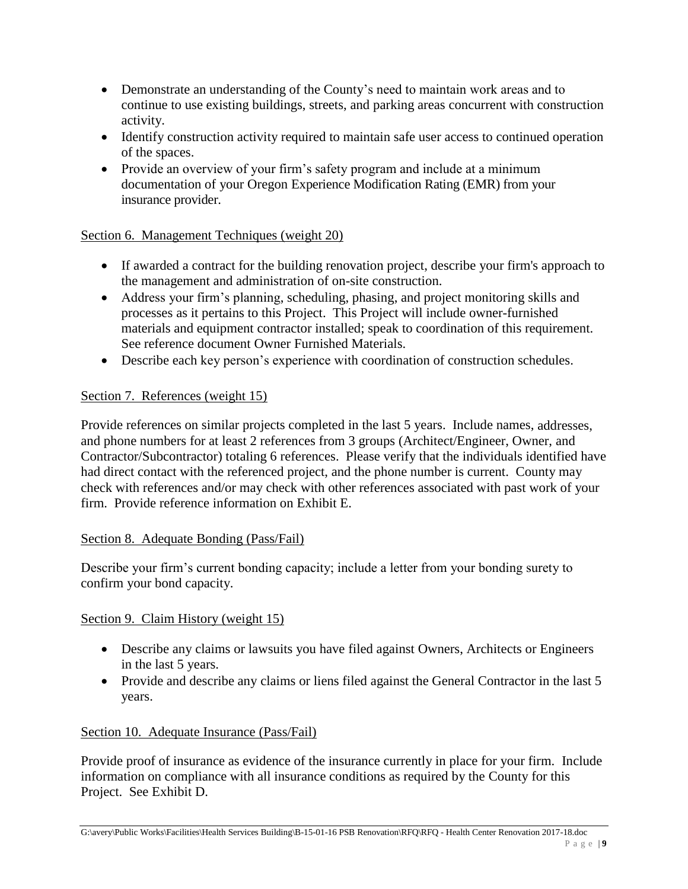- Demonstrate an understanding of the County's need to maintain work areas and to continue to use existing buildings, streets, and parking areas concurrent with construction activity.
- Identify construction activity required to maintain safe user access to continued operation of the spaces.
- Provide an overview of your firm's safety program and include at a minimum documentation of your Oregon Experience Modification Rating (EMR) from your insurance provider.

#### Section 6. Management Techniques (weight 20)

- If awarded a contract for the building renovation project, describe your firm's approach to the management and administration of on-site construction.
- Address your firm's planning, scheduling, phasing, and project monitoring skills and processes as it pertains to this Project. This Project will include owner-furnished materials and equipment contractor installed; speak to coordination of this requirement. See reference document Owner Furnished Materials.
- Describe each key person's experience with coordination of construction schedules.

#### Section 7. References (weight 15)

Provide references on similar projects completed in the last 5 years. Include names, addresses, and phone numbers for at least 2 references from 3 groups (Architect/Engineer, Owner, and Contractor/Subcontractor) totaling 6 references. Please verify that the individuals identified have had direct contact with the referenced project, and the phone number is current. County may check with references and/or may check with other references associated with past work of your firm. Provide reference information on Exhibit E.

#### Section 8. Adequate Bonding (Pass/Fail)

Describe your firm's current bonding capacity; include a letter from your bonding surety to confirm your bond capacity.

#### Section 9. Claim History (weight 15)

- Describe any claims or lawsuits you have filed against Owners, Architects or Engineers in the last 5 years.
- Provide and describe any claims or liens filed against the General Contractor in the last 5 years.

#### Section 10. Adequate Insurance (Pass/Fail)

Provide proof of insurance as evidence of the insurance currently in place for your firm. Include information on compliance with all insurance conditions as required by the County for this Project. See Exhibit D.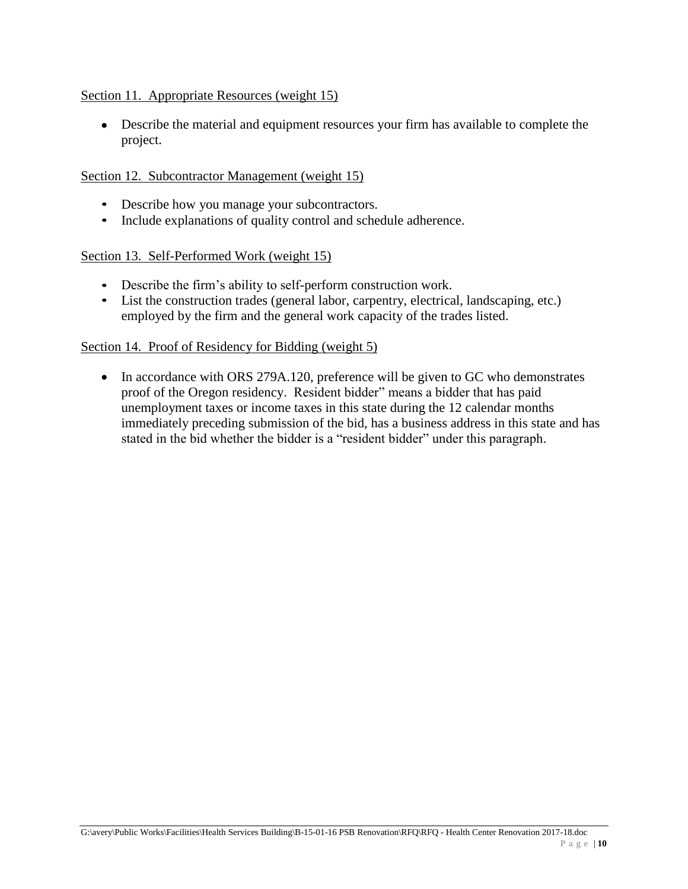#### Section 11. Appropriate Resources (weight 15)

 Describe the material and equipment resources your firm has available to complete the project.

#### Section 12. Subcontractor Management (weight 15)

- Describe how you manage your subcontractors.
- Include explanations of quality control and schedule adherence.

#### Section 13. Self-Performed Work (weight 15)

- Describe the firm's ability to self-perform construction work.
- List the construction trades (general labor, carpentry, electrical, landscaping, etc.) employed by the firm and the general work capacity of the trades listed.

#### Section 14. Proof of Residency for Bidding (weight 5)

• In accordance with ORS 279A.120, preference will be given to GC who demonstrates proof of the Oregon residency. Resident bidder" means a bidder that has paid unemployment taxes or income taxes in this state during the 12 calendar months immediately preceding submission of the bid, has a business address in this state and has stated in the bid whether the bidder is a "resident bidder" under this paragraph.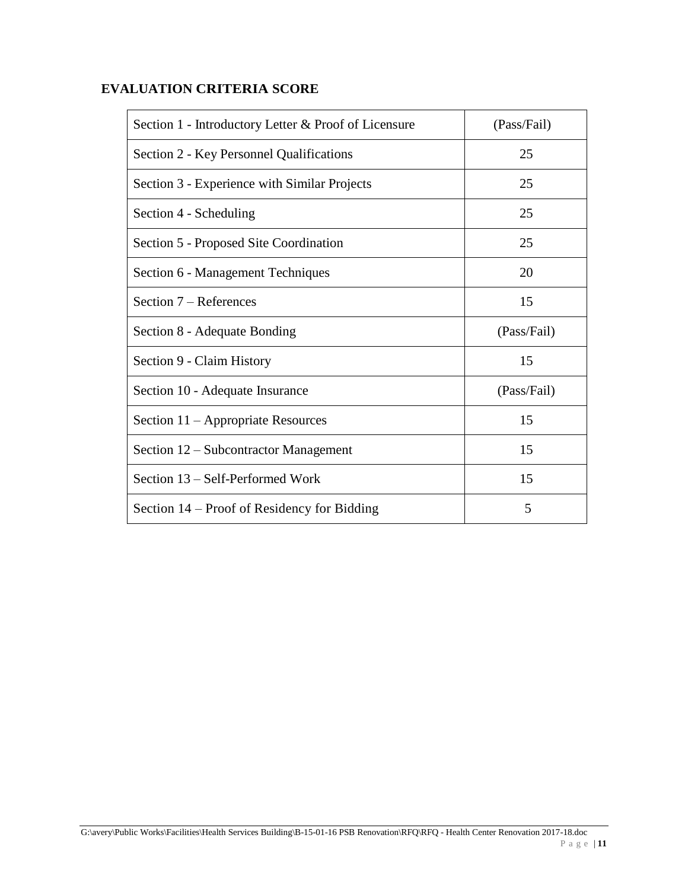## **EVALUATION CRITERIA SCORE**

| Section 1 - Introductory Letter & Proof of Licensure | (Pass/Fail) |
|------------------------------------------------------|-------------|
| Section 2 - Key Personnel Qualifications             | 25          |
| Section 3 - Experience with Similar Projects         | 25          |
| Section 4 - Scheduling                               | 25          |
| Section 5 - Proposed Site Coordination               | 25          |
| Section 6 - Management Techniques                    | 20          |
| Section 7 – References                               | 15          |
| Section 8 - Adequate Bonding                         | (Pass/Fail) |
| Section 9 - Claim History                            | 15          |
| Section 10 - Adequate Insurance                      | (Pass/Fail) |
| Section 11 – Appropriate Resources                   | 15          |
| Section 12 – Subcontractor Management                | 15          |
| Section 13 – Self-Performed Work                     | 15          |
| Section 14 – Proof of Residency for Bidding          | 5           |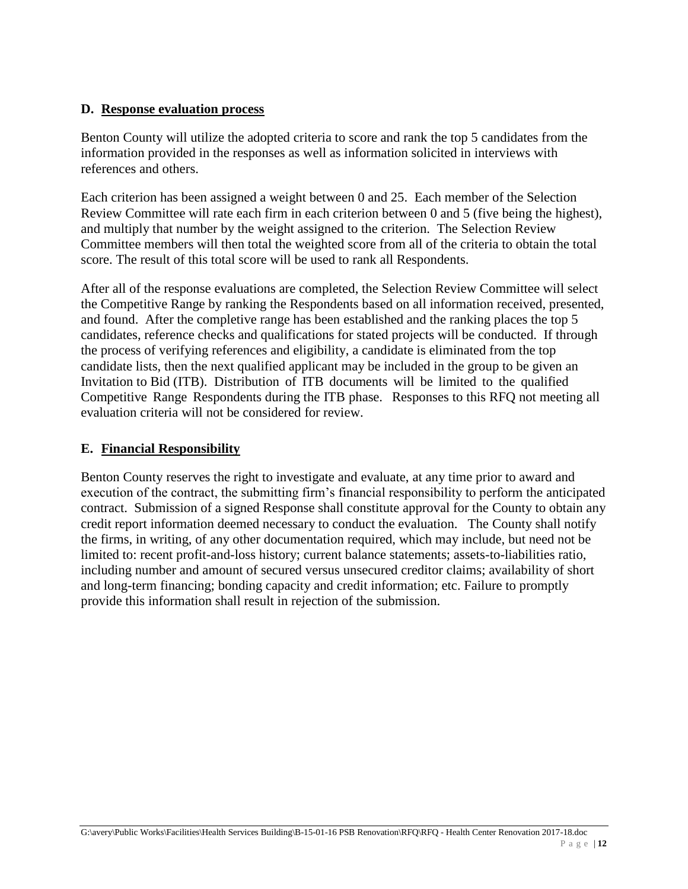#### **D. Response evaluation process**

Benton County will utilize the adopted criteria to score and rank the top 5 candidates from the information provided in the responses as well as information solicited in interviews with references and others.

Each criterion has been assigned a weight between 0 and 25. Each member of the Selection Review Committee will rate each firm in each criterion between 0 and 5 (five being the highest), and multiply that number by the weight assigned to the criterion. The Selection Review Committee members will then total the weighted score from all of the criteria to obtain the total score. The result of this total score will be used to rank all Respondents.

After all of the response evaluations are completed, the Selection Review Committee will select the Competitive Range by ranking the Respondents based on all information received, presented, and found. After the completive range has been established and the ranking places the top 5 candidates, reference checks and qualifications for stated projects will be conducted. If through the process of verifying references and eligibility, a candidate is eliminated from the top candidate lists, then the next qualified applicant may be included in the group to be given an Invitation to Bid (ITB). Distribution of ITB documents will be limited to the qualified Competitive Range Respondents during the ITB phase. Responses to this RFQ not meeting all evaluation criteria will not be considered for review.

#### **E. Financial Responsibility**

Benton County reserves the right to investigate and evaluate, at any time prior to award and execution of the contract, the submitting firm's financial responsibility to perform the anticipated contract. Submission of a signed Response shall constitute approval for the County to obtain any credit report information deemed necessary to conduct the evaluation. The County shall notify the firms, in writing, of any other documentation required, which may include, but need not be limited to: recent profit-and-loss history; current balance statements; assets-to-liabilities ratio, including number and amount of secured versus unsecured creditor claims; availability of short and long-term financing; bonding capacity and credit information; etc. Failure to promptly provide this information shall result in rejection of the submission.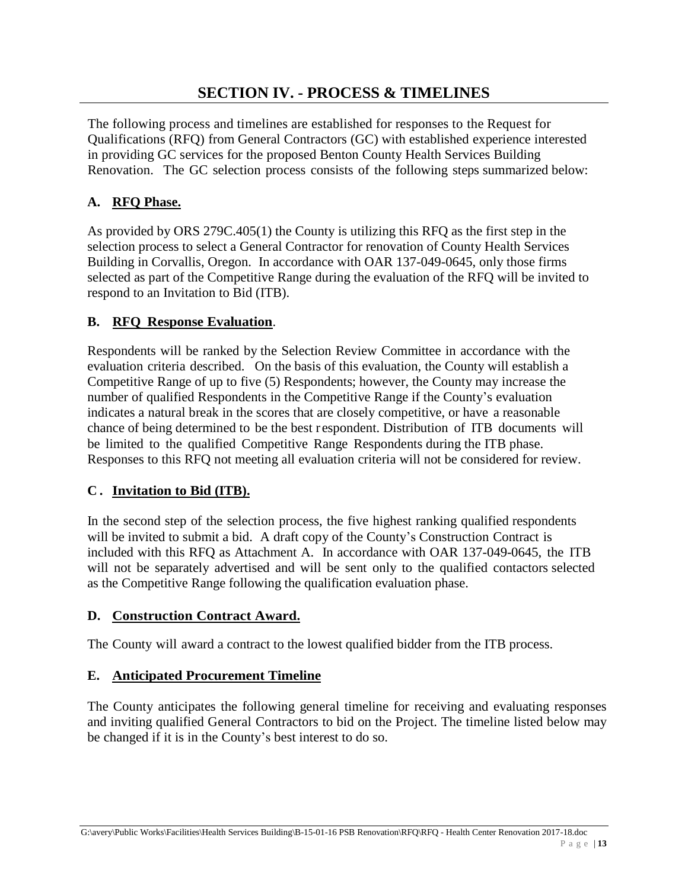## **SECTION IV. - PROCESS & TIMELINES**

The following process and timelines are established for responses to the Request for Qualifications (RFQ) from General Contractors (GC) with established experience interested in providing GC services for the proposed Benton County Health Services Building Renovation. The GC selection process consists of the following steps summarized below:

#### **A. RFQ Phase.**

As provided by ORS 279C.405(1) the County is utilizing this RFQ as the first step in the selection process to select a General Contractor for renovation of County Health Services Building in Corvallis, Oregon. In accordance with OAR 137-049-0645, only those firms selected as part of the Competitive Range during the evaluation of the RFQ will be invited to respond to an Invitation to Bid (ITB).

#### **B. RFQ Response Evaluation**.

Respondents will be ranked by the Selection Review Committee in accordance with the evaluation criteria described. On the basis of this evaluation, the County will establish a Competitive Range of up to five (5) Respondents; however, the County may increase the number of qualified Respondents in the Competitive Range if the County's evaluation indicates a natural break in the scores that are closely competitive, or have a reasonable chance of being determined to be the best r espondent. Distribution of ITB documents will be limited to the qualified Competitive Range Respondents during the ITB phase. Responses to this RFQ not meeting all evaluation criteria will not be considered for review.

#### **C . Invitation to Bid (ITB).**

In the second step of the selection process, the five highest ranking qualified respondents will be invited to submit a bid. A draft copy of the County's Construction Contract is included with this RFQ as Attachment A. In accordance with OAR 137-049-0645, the ITB will not be separately advertised and will be sent only to the qualified contactors selected as the Competitive Range following the qualification evaluation phase.

#### **D. Construction Contract Award.**

The County will award a contract to the lowest qualified bidder from the ITB process.

#### **E. Anticipated Procurement Timeline**

The County anticipates the following general timeline for receiving and evaluating responses and inviting qualified General Contractors to bid on the Project. The timeline listed below may be changed if it is in the County's best interest to do so.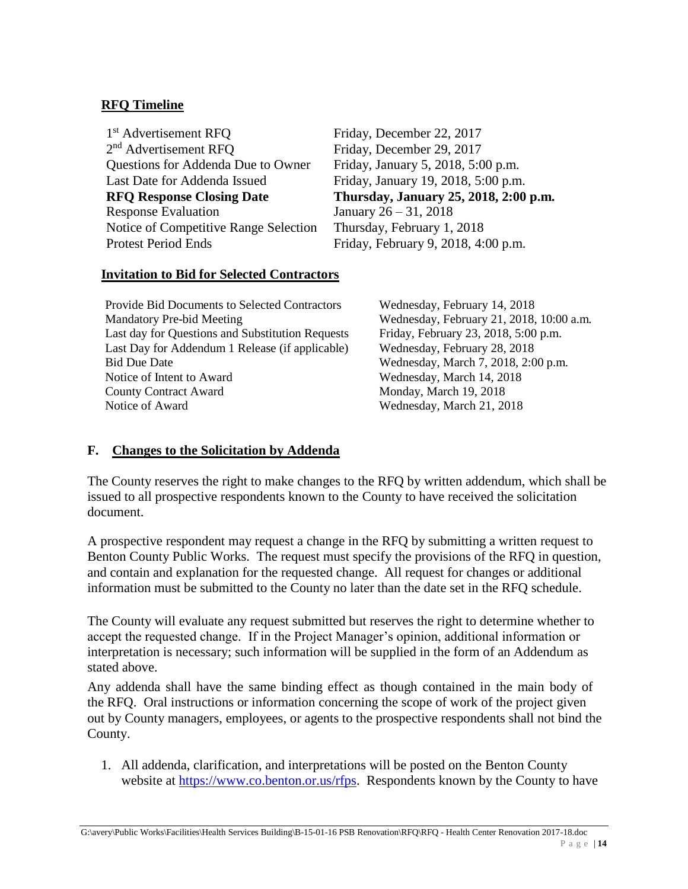#### **RFQ Timeline**

1<sup>st</sup> Advertisement RFO 2<sup>nd</sup> Advertisement RFO Questions for Addenda Due to Owner Friday, January 5, 2018, 5:00 p.m. Last Date for Addenda Issued Friday, January 19, 2018, 5:00 p.m. Response Evaluation January  $26 - 31$ ,  $2018$ Notice of Competitive Range Selection Thursday, February 1, 2018 Protest Period Ends Friday, February 9, 2018, 4:00 p.m.

Friday, December 22, 2017 Friday, December 29, 2017 **RFQ Response Closing Date Thursday, January 25, 2018, 2:00 p.m.**

#### **Invitation to Bid for Selected Contractors**

Provide Bid Documents to Selected Contractors Wednesday, February 14, 2018 Mandatory Pre-bid Meeting Wednesday, February 21, 2018, 10:00 a.m. Last day for Questions and Substitution Requests Friday, February 23, 2018, 5:00 p.m. Last Day for Addendum 1 Release (if applicable) Wednesday, February 28, 2018 Bid Due Date Wednesday, March 7, 2018, 2:00 p.m. Notice of Intent to Award Wednesday, March 14, 2018 County Contract Award Monday, March 19, 2018 Notice of Award Wednesday, March 21, 2018

#### **F. Changes to the Solicitation by Addenda**

The County reserves the right to make changes to the RFQ by written addendum, which shall be issued to all prospective respondents known to the County to have received the solicitation document.

A prospective respondent may request a change in the RFQ by submitting a written request to Benton County Public Works. The request must specify the provisions of the RFQ in question, and contain and explanation for the requested change. All request for changes or additional information must be submitted to the County no later than the date set in the RFQ schedule.

The County will evaluate any request submitted but reserves the right to determine whether to accept the requested change. If in the Project Manager's opinion, additional information or interpretation is necessary; such information will be supplied in the form of an Addendum as stated above.

Any addenda shall have the same binding effect as though contained in the main body of the RFQ. Oral instructions or information concerning the scope of work of the project given out by County managers, employees, or agents to the prospective respondents shall not bind the County.

1. All addenda, clarification, and interpretations will be posted on the Benton County website at [https://www.co.benton.or.us/rfps.](https://www.co.benton.or.us/rfps) Respondents known by the County to have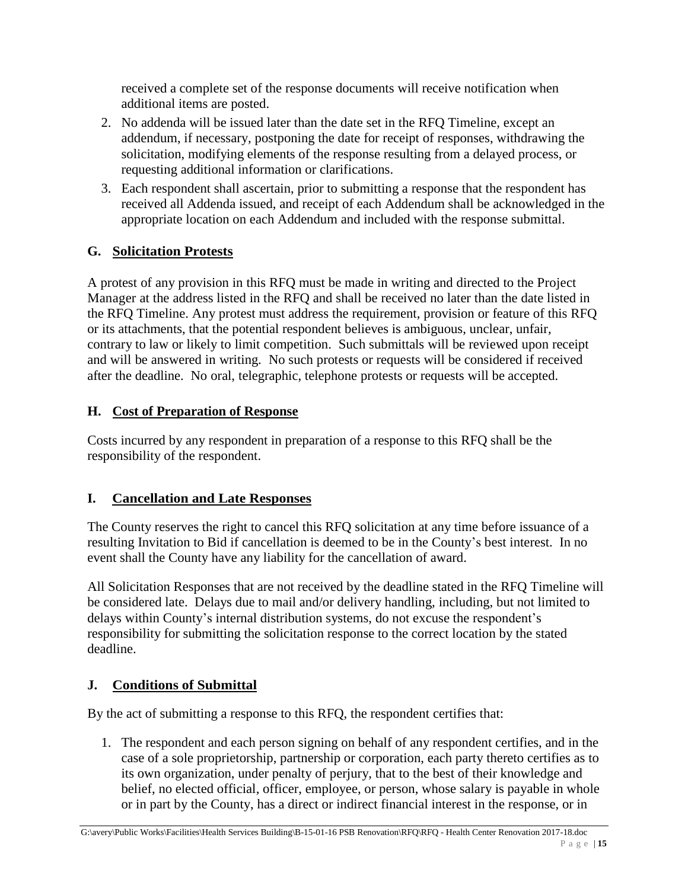received a complete set of the response documents will receive notification when additional items are posted.

- 2. No addenda will be issued later than the date set in the RFQ Timeline, except an addendum, if necessary, postponing the date for receipt of responses, withdrawing the solicitation, modifying elements of the response resulting from a delayed process, or requesting additional information or clarifications.
- 3. Each respondent shall ascertain, prior to submitting a response that the respondent has received all Addenda issued, and receipt of each Addendum shall be acknowledged in the appropriate location on each Addendum and included with the response submittal.

## **G. Solicitation Protests**

A protest of any provision in this RFQ must be made in writing and directed to the Project Manager at the address listed in the RFQ and shall be received no later than the date listed in the RFQ Timeline. Any protest must address the requirement, provision or feature of this RFQ or its attachments, that the potential respondent believes is ambiguous, unclear, unfair, contrary to law or likely to limit competition. Such submittals will be reviewed upon receipt and will be answered in writing. No such protests or requests will be considered if received after the deadline. No oral, telegraphic, telephone protests or requests will be accepted.

## **H. Cost of Preparation of Response**

Costs incurred by any respondent in preparation of a response to this RFQ shall be the responsibility of the respondent.

## **I. Cancellation and Late Responses**

The County reserves the right to cancel this RFQ solicitation at any time before issuance of a resulting Invitation to Bid if cancellation is deemed to be in the County's best interest. In no event shall the County have any liability for the cancellation of award.

All Solicitation Responses that are not received by the deadline stated in the RFQ Timeline will be considered late. Delays due to mail and/or delivery handling, including, but not limited to delays within County's internal distribution systems, do not excuse the respondent's responsibility for submitting the solicitation response to the correct location by the stated deadline.

## **J. Conditions of Submittal**

By the act of submitting a response to this RFQ, the respondent certifies that:

1. The respondent and each person signing on behalf of any respondent certifies, and in the case of a sole proprietorship, partnership or corporation, each party thereto certifies as to its own organization, under penalty of perjury, that to the best of their knowledge and belief, no elected official, officer, employee, or person, whose salary is payable in whole or in part by the County, has a direct or indirect financial interest in the response, or in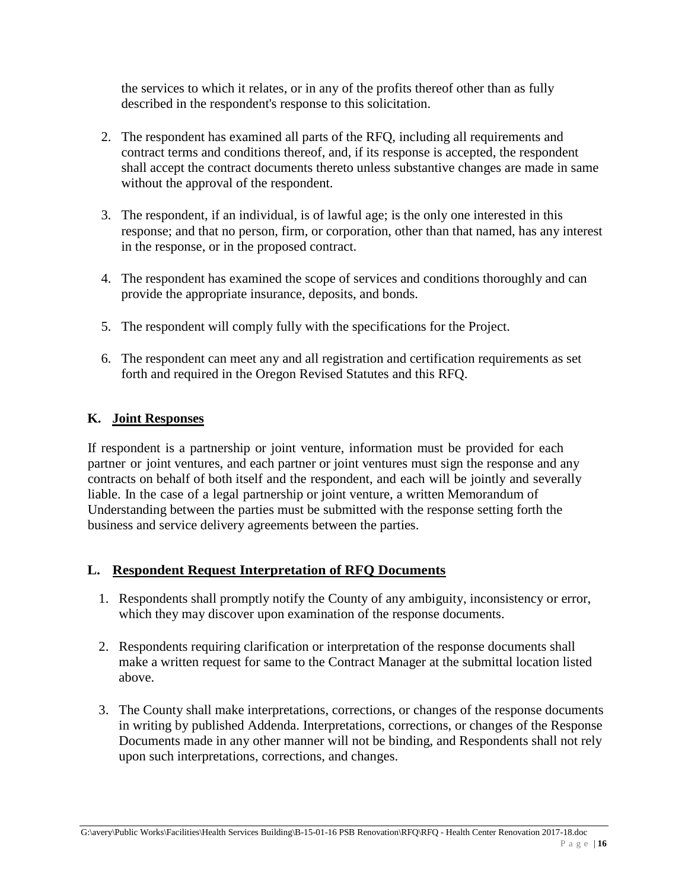the services to which it relates, or in any of the profits thereof other than as fully described in the respondent's response to this solicitation.

- 2. The respondent has examined all parts of the RFQ, including all requirements and contract terms and conditions thereof, and, if its response is accepted, the respondent shall accept the contract documents thereto unless substantive changes are made in same without the approval of the respondent.
- 3. The respondent, if an individual, is of lawful age; is the only one interested in this response; and that no person, firm, or corporation, other than that named, has any interest in the response, or in the proposed contract.
- 4. The respondent has examined the scope of services and conditions thoroughly and can provide the appropriate insurance, deposits, and bonds.
- 5. The respondent will comply fully with the specifications for the Project.
- 6. The respondent can meet any and all registration and certification requirements as set forth and required in the Oregon Revised Statutes and this RFQ.

#### **K. Joint Responses**

If respondent is a partnership or joint venture, information must be provided for each partner or joint ventures, and each partner or joint ventures must sign the response and any contracts on behalf of both itself and the respondent, and each will be jointly and severally liable. In the case of a legal partnership or joint venture, a written Memorandum of Understanding between the parties must be submitted with the response setting forth the business and service delivery agreements between the parties.

#### **L. Respondent Request Interpretation of RFQ Documents**

- 1. Respondents shall promptly notify the County of any ambiguity, inconsistency or error, which they may discover upon examination of the response documents.
- 2. Respondents requiring clarification or interpretation of the response documents shall make a written request for same to the Contract Manager at the submittal location listed above.
- 3. The County shall make interpretations, corrections, or changes of the response documents in writing by published Addenda. Interpretations, corrections, or changes of the Response Documents made in any other manner will not be binding, and Respondents shall not rely upon such interpretations, corrections, and changes.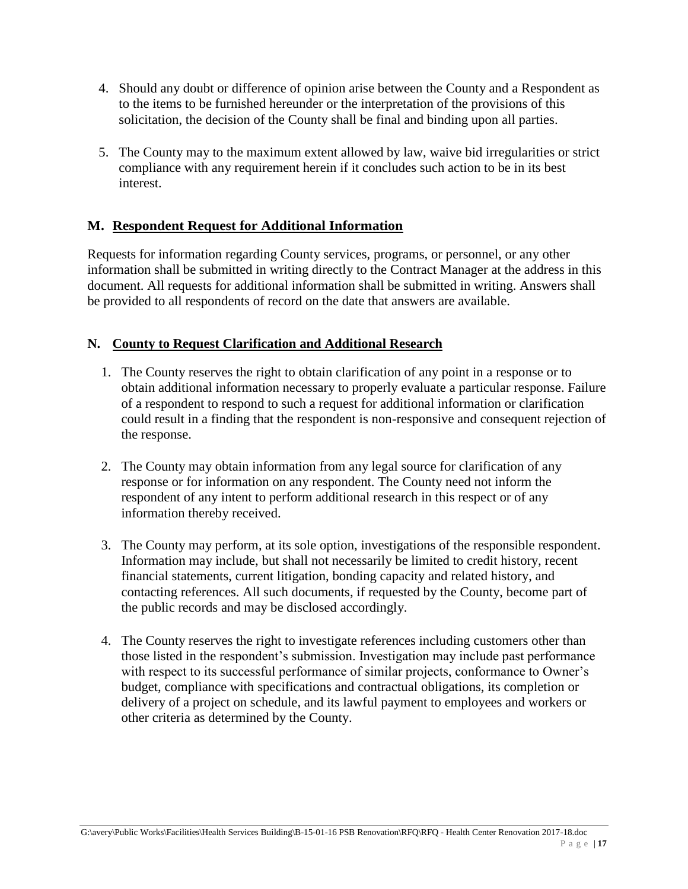- 4. Should any doubt or difference of opinion arise between the County and a Respondent as to the items to be furnished hereunder or the interpretation of the provisions of this solicitation, the decision of the County shall be final and binding upon all parties.
- 5. The County may to the maximum extent allowed by law, waive bid irregularities or strict compliance with any requirement herein if it concludes such action to be in its best interest.

## **M. Respondent Request for Additional Information**

Requests for information regarding County services, programs, or personnel, or any other information shall be submitted in writing directly to the Contract Manager at the address in this document. All requests for additional information shall be submitted in writing. Answers shall be provided to all respondents of record on the date that answers are available.

#### **N. County to Request Clarification and Additional Research**

- 1. The County reserves the right to obtain clarification of any point in a response or to obtain additional information necessary to properly evaluate a particular response. Failure of a respondent to respond to such a request for additional information or clarification could result in a finding that the respondent is non-responsive and consequent rejection of the response.
- 2. The County may obtain information from any legal source for clarification of any response or for information on any respondent. The County need not inform the respondent of any intent to perform additional research in this respect or of any information thereby received.
- 3. The County may perform, at its sole option, investigations of the responsible respondent. Information may include, but shall not necessarily be limited to credit history, recent financial statements, current litigation, bonding capacity and related history, and contacting references. All such documents, if requested by the County, become part of the public records and may be disclosed accordingly.
- 4. The County reserves the right to investigate references including customers other than those listed in the respondent's submission. Investigation may include past performance with respect to its successful performance of similar projects, conformance to Owner's budget, compliance with specifications and contractual obligations, its completion or delivery of a project on schedule, and its lawful payment to employees and workers or other criteria as determined by the County.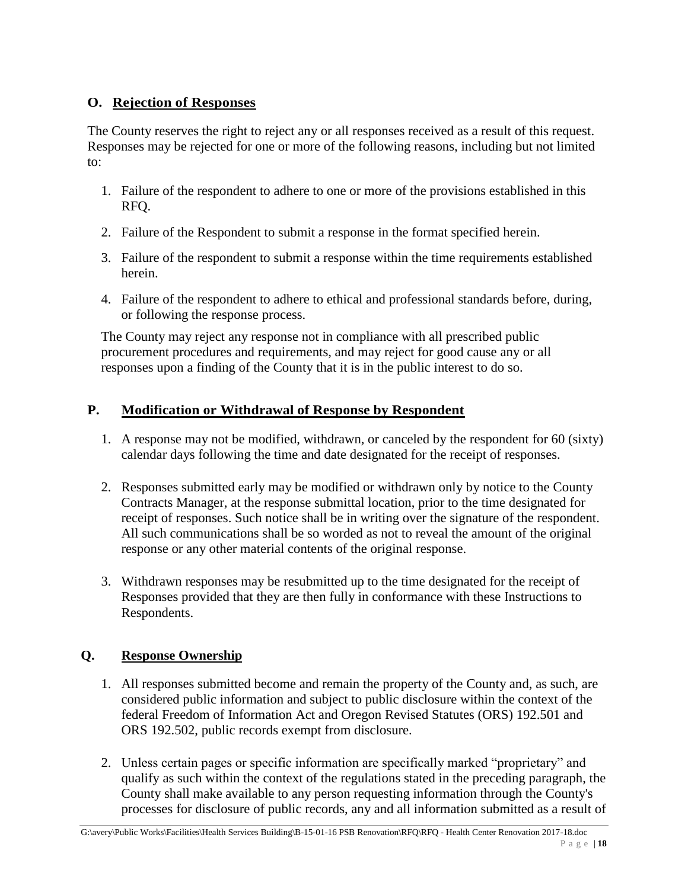## **O. Rejection of Responses**

The County reserves the right to reject any or all responses received as a result of this request. Responses may be rejected for one or more of the following reasons, including but not limited to:

- 1. Failure of the respondent to adhere to one or more of the provisions established in this RFQ.
- 2. Failure of the Respondent to submit a response in the format specified herein.
- 3. Failure of the respondent to submit a response within the time requirements established herein.
- 4. Failure of the respondent to adhere to ethical and professional standards before, during, or following the response process.

The County may reject any response not in compliance with all prescribed public procurement procedures and requirements, and may reject for good cause any or all responses upon a finding of the County that it is in the public interest to do so.

## **P. Modification or Withdrawal of Response by Respondent**

- 1. A response may not be modified, withdrawn, or canceled by the respondent for 60 (sixty) calendar days following the time and date designated for the receipt of responses.
- 2. Responses submitted early may be modified or withdrawn only by notice to the County Contracts Manager, at the response submittal location, prior to the time designated for receipt of responses. Such notice shall be in writing over the signature of the respondent. All such communications shall be so worded as not to reveal the amount of the original response or any other material contents of the original response.
- 3. Withdrawn responses may be resubmitted up to the time designated for the receipt of Responses provided that they are then fully in conformance with these Instructions to Respondents.

## **Q. Response Ownership**

- 1. All responses submitted become and remain the property of the County and, as such, are considered public information and subject to public disclosure within the context of the federal Freedom of Information Act and Oregon Revised Statutes (ORS) 192.501 and ORS 192.502, public records exempt from disclosure.
- 2. Unless certain pages or specific information are specifically marked "proprietary" and qualify as such within the context of the regulations stated in the preceding paragraph, the County shall make available to any person requesting information through the County's processes for disclosure of public records, any and all information submitted as a result of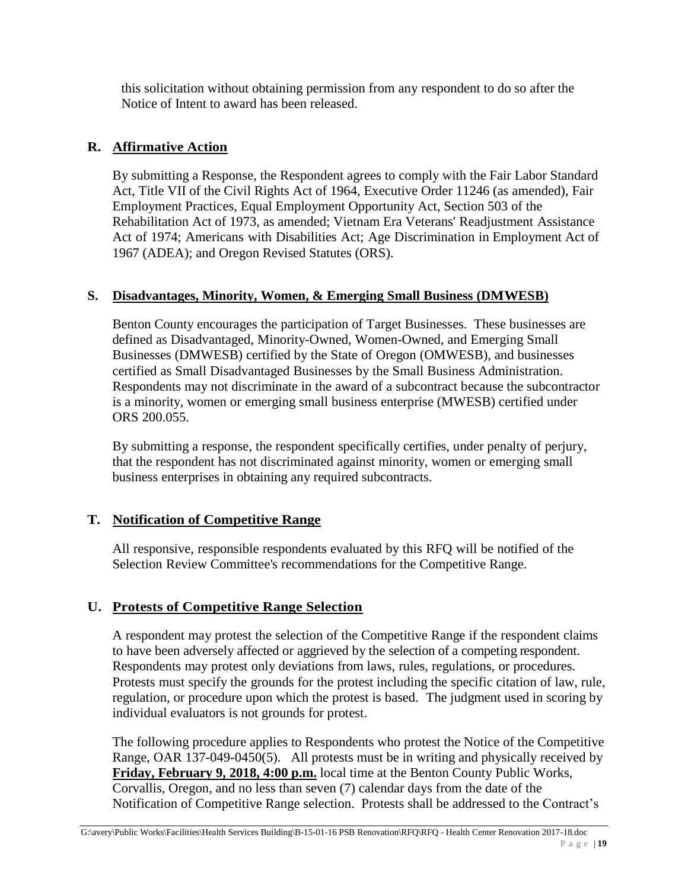this solicitation without obtaining permission from any respondent to do so after the Notice of Intent to award has been released.

#### **R. Affirmative Action**

By submitting a Response, the Respondent agrees to comply with the Fair Labor Standard Act, Title VII of the Civil Rights Act of 1964, Executive Order 11246 (as amended), Fair Employment Practices, Equal Employment Opportunity Act, Section 503 of the Rehabilitation Act of 1973, as amended; Vietnam Era Veterans' Readjustment Assistance Act of 1974; Americans with Disabilities Act; Age Discrimination in Employment Act of 1967 (ADEA); and Oregon Revised Statutes (ORS).

#### **S. Disadvantages, Minority, Women, & Emerging Small Business (DMWESB)**

Benton County encourages the participation of Target Businesses. These businesses are defined as Disadvantaged, Minority-Owned, Women-Owned, and Emerging Small Businesses (DMWESB) certified by the State of Oregon (OMWESB), and businesses certified as Small Disadvantaged Businesses by the Small Business Administration. Respondents may not discriminate in the award of a subcontract because the subcontractor is a minority, women or emerging small business enterprise (MWESB) certified under ORS 200.055.

By submitting a response, the respondent specifically certifies, under penalty of perjury, that the respondent has not discriminated against minority, women or emerging small business enterprises in obtaining any required subcontracts.

## **T. Notification of Competitive Range**

All responsive, responsible respondents evaluated by this RFQ will be notified of the Selection Review Committee's recommendations for the Competitive Range.

## **U. Protests of Competitive Range Selection**

A respondent may protest the selection of the Competitive Range if the respondent claims to have been adversely affected or aggrieved by the selection of a competing respondent. Respondents may protest only deviations from laws, rules, regulations, or procedures. Protests must specify the grounds for the protest including the specific citation of law, rule, regulation, or procedure upon which the protest is based. The judgment used in scoring by individual evaluators is not grounds for protest.

The following procedure applies to Respondents who protest the Notice of the Competitive Range, OAR 137-049-0450(5). All protests must be in writing and physically received by **Friday, February 9, 2018, 4:00 p.m.** local time at the Benton County Public Works, Corvallis, Oregon, and no less than seven (7) calendar days from the date of the Notification of Competitive Range selection. Protests shall be addressed to the Contract's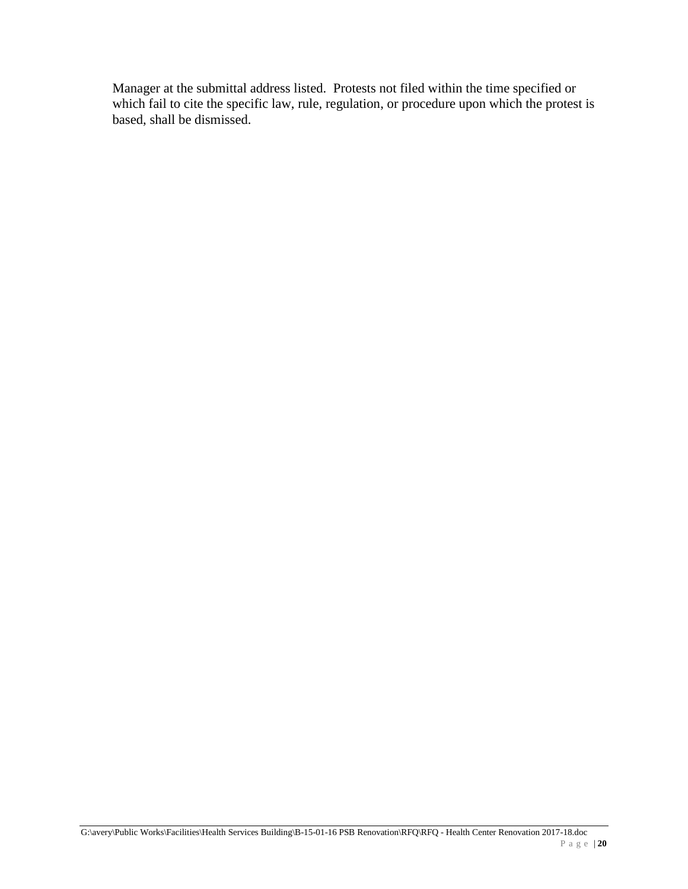Manager at the submittal address listed. Protests not filed within the time specified or which fail to cite the specific law, rule, regulation, or procedure upon which the protest is based, shall be dismissed.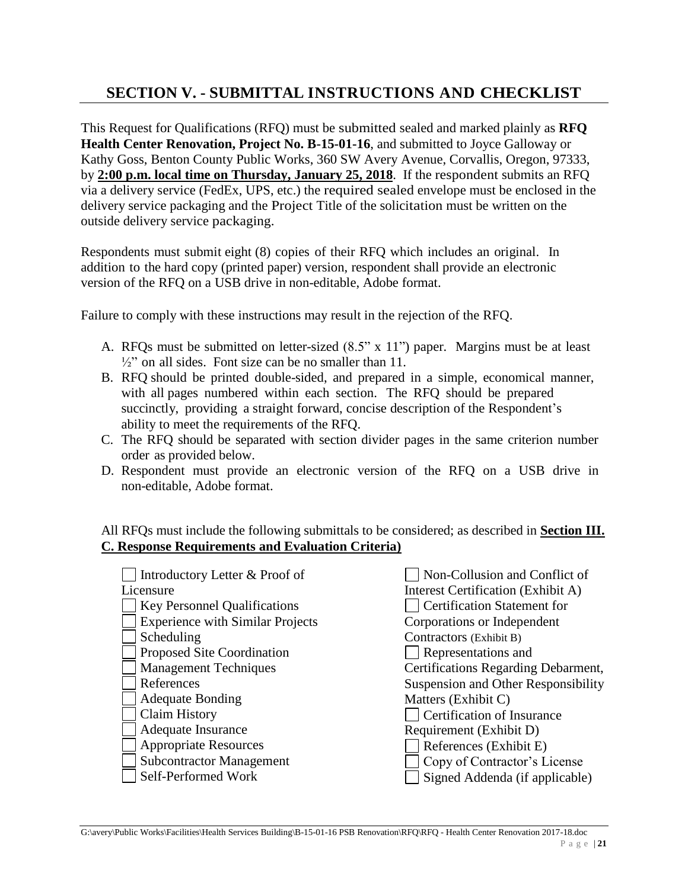# **SECTION V. - SUBMITTAL INSTRUCTIONS AND CHECKLIST**

This Request for Qualifications (RFQ) must be submitted sealed and marked plainly as **RFQ Health Center Renovation, Project No. B-15-01-16**, and submitted to Joyce Galloway or Kathy Goss, Benton County Public Works, 360 SW Avery Avenue, Corvallis, Oregon, 97333, by **2:00 p.m. local time on Thursday, January 25, 2018**. If the respondent submits an RFQ via a delivery service (FedEx, UPS, etc.) the required sealed envelope must be enclosed in the delivery service packaging and the Project Title of the solicitation must be written on the outside delivery service packaging.

Respondents must submit eight (8) copies of their RFQ which includes an original. In addition to the hard copy (printed paper) version, respondent shall provide an electronic version of the RFQ on a USB drive in non-editable, Adobe format.

Failure to comply with these instructions may result in the rejection of the RFQ.

- A. RFQs must be submitted on letter-sized (8.5" x 11") paper. Margins must be at least  $\frac{1}{2}$ " on all sides. Font size can be no smaller than 11.
- B. RFQ should be printed double-sided, and prepared in a simple, economical manner, with all pages numbered within each section. The RFQ should be prepared succinctly, providing a straight forward, concise description of the Respondent's ability to meet the requirements of the RFQ.
- C. The RFQ should be separated with section divider pages in the same criterion number order as provided below.
- D. Respondent must provide an electronic version of the RFQ on a USB drive in non-editable, Adobe format.

All RFQs must include the following submittals to be considered; as described in **Section III. C. Response Requirements and Evaluation Criteria)**

| Introductory Letter & Proof of          | Non-Collusion and Conflict of       |
|-----------------------------------------|-------------------------------------|
| Licensure                               | Interest Certification (Exhibit A)  |
| <b>Key Personnel Qualifications</b>     | <b>Certification Statement for</b>  |
| <b>Experience with Similar Projects</b> | Corporations or Independent         |
| Scheduling                              | Contractors (Exhibit B)             |
| Proposed Site Coordination              | Representations and                 |
| <b>Management Techniques</b>            | Certifications Regarding Debarment, |
| References                              | Suspension and Other Responsibility |
| <b>Adequate Bonding</b>                 | Matters (Exhibit C)                 |
| Claim History                           | Certification of Insurance          |
| Adequate Insurance                      | Requirement (Exhibit D)             |
| <b>Appropriate Resources</b>            | References (Exhibit E)              |
| <b>Subcontractor Management</b>         | Copy of Contractor's License        |
| Self-Performed Work                     | Signed Addenda (if applicable)      |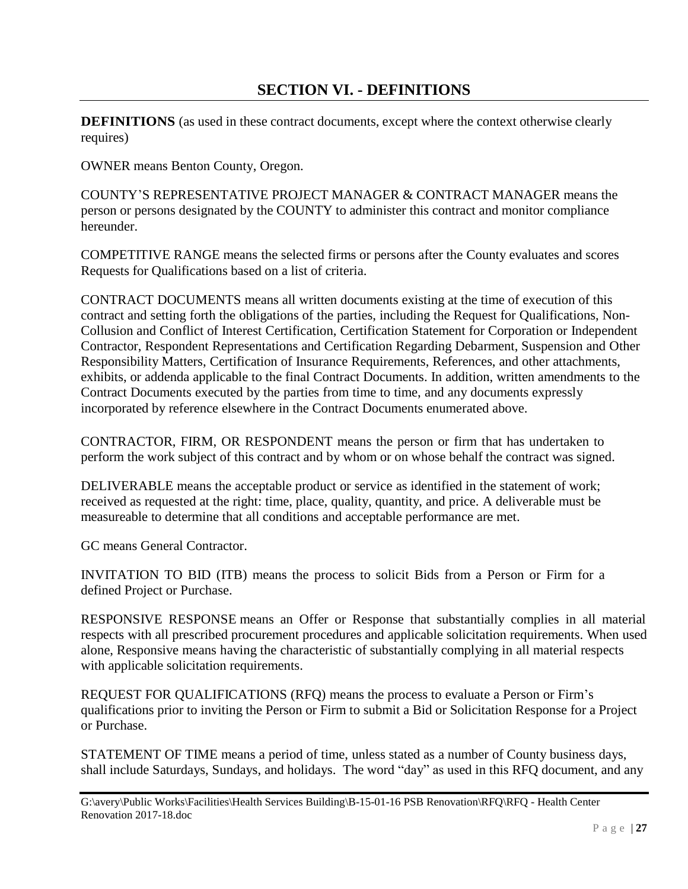## **SECTION VI. - DEFINITIONS**

**DEFINITIONS** (as used in these contract documents, except where the context otherwise clearly requires)

OWNER means Benton County, Oregon.

COUNTY'S REPRESENTATIVE PROJECT MANAGER & CONTRACT MANAGER means the person or persons designated by the COUNTY to administer this contract and monitor compliance hereunder.

COMPETITIVE RANGE means the selected firms or persons after the County evaluates and scores Requests for Qualifications based on a list of criteria.

CONTRACT DOCUMENTS means all written documents existing at the time of execution of this contract and setting forth the obligations of the parties, including the Request for Qualifications, Non-Collusion and Conflict of Interest Certification, Certification Statement for Corporation or Independent Contractor, Respondent Representations and Certification Regarding Debarment, Suspension and Other Responsibility Matters, Certification of Insurance Requirements, References, and other attachments, exhibits, or addenda applicable to the final Contract Documents. In addition, written amendments to the Contract Documents executed by the parties from time to time, and any documents expressly incorporated by reference elsewhere in the Contract Documents enumerated above.

CONTRACTOR, FIRM, OR RESPONDENT means the person or firm that has undertaken to perform the work subject of this contract and by whom or on whose behalf the contract was signed.

DELIVERABLE means the acceptable product or service as identified in the statement of work; received as requested at the right: time, place, quality, quantity, and price. A deliverable must be measureable to determine that all conditions and acceptable performance are met.

GC means General Contractor.

INVITATION TO BID (ITB) means the process to solicit Bids from a Person or Firm for a defined Project or Purchase.

RESPONSIVE RESPONSE means an Offer or Response that substantially complies in all material respects with all prescribed procurement procedures and applicable solicitation requirements. When used alone, Responsive means having the characteristic of substantially complying in all material respects with applicable solicitation requirements.

REQUEST FOR QUALIFICATIONS (RFQ) means the process to evaluate a Person or Firm's qualifications prior to inviting the Person or Firm to submit a Bid or Solicitation Response for a Project or Purchase.

STATEMENT OF TIME means a period of time, unless stated as a number of County business days, shall include Saturdays, Sundays, and holidays. The word "day" as used in this RFQ document, and any

G:\avery\Public Works\Facilities\Health Services Building\B-15-01-16 PSB Renovation\RFQ\RFQ - Health Center Renovation 2017-18.doc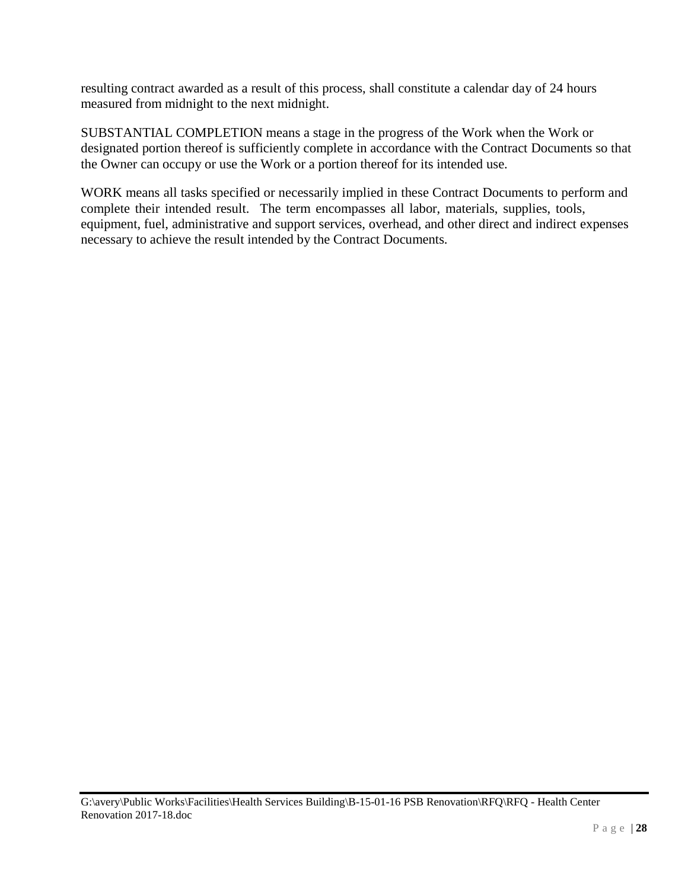resulting contract awarded as a result of this process, shall constitute a calendar day of 24 hours measured from midnight to the next midnight.

SUBSTANTIAL COMPLETION means a stage in the progress of the Work when the Work or designated portion thereof is sufficiently complete in accordance with the Contract Documents so that the Owner can occupy or use the Work or a portion thereof for its intended use.

WORK means all tasks specified or necessarily implied in these Contract Documents to perform and complete their intended result. The term encompasses all labor, materials, supplies, tools, equipment, fuel, administrative and support services, overhead, and other direct and indirect expenses necessary to achieve the result intended by the Contract Documents.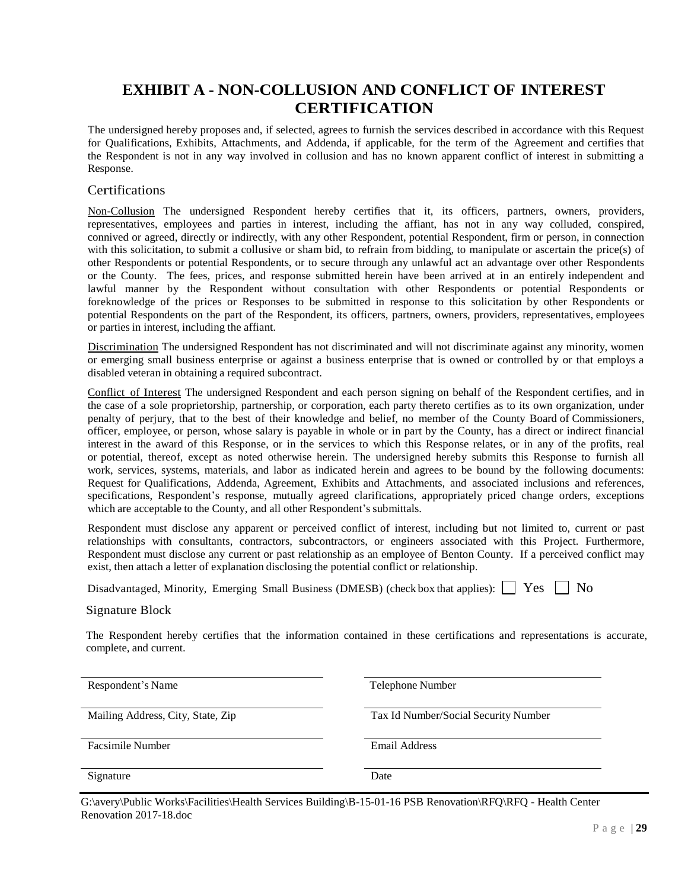## **EXHIBIT A - NON-COLLUSION AND CONFLICT OF INTEREST CERTIFICATION**

The undersigned hereby proposes and, if selected, agrees to furnish the services described in accordance with this Request for Qualifications, Exhibits, Attachments, and Addenda, if applicable, for the term of the Agreement and certifies that the Respondent is not in any way involved in collusion and has no known apparent conflict of interest in submitting a Response.

#### Certifications

Non-Collusion The undersigned Respondent hereby certifies that it, its officers, partners, owners, providers, representatives, employees and parties in interest, including the affiant, has not in any way colluded, conspired, connived or agreed, directly or indirectly, with any other Respondent, potential Respondent, firm or person, in connection with this solicitation, to submit a collusive or sham bid, to refrain from bidding, to manipulate or ascertain the price(s) of other Respondents or potential Respondents, or to secure through any unlawful act an advantage over other Respondents or the County. The fees, prices, and response submitted herein have been arrived at in an entirely independent and lawful manner by the Respondent without consultation with other Respondents or potential Respondents or foreknowledge of the prices or Responses to be submitted in response to this solicitation by other Respondents or potential Respondents on the part of the Respondent, its officers, partners, owners, providers, representatives, employees or parties in interest, including the affiant.

Discrimination The undersigned Respondent has not discriminated and will not discriminate against any minority, women or emerging small business enterprise or against a business enterprise that is owned or controlled by or that employs a disabled veteran in obtaining a required subcontract.

Conflict of Interest The undersigned Respondent and each person signing on behalf of the Respondent certifies, and in the case of a sole proprietorship, partnership, or corporation, each party thereto certifies as to its own organization, under penalty of perjury, that to the best of their knowledge and belief, no member of the County Board of Commissioners, officer, employee, or person, whose salary is payable in whole or in part by the County, has a direct or indirect financial interest in the award of this Response, or in the services to which this Response relates, or in any of the profits, real or potential, thereof, except as noted otherwise herein. The undersigned hereby submits this Response to furnish all work, services, systems, materials, and labor as indicated herein and agrees to be bound by the following documents: Request for Qualifications, Addenda, Agreement, Exhibits and Attachments, and associated inclusions and references, specifications, Respondent's response, mutually agreed clarifications, appropriately priced change orders, exceptions which are acceptable to the County, and all other Respondent's submittals.

Respondent must disclose any apparent or perceived conflict of interest, including but not limited to, current or past relationships with consultants, contractors, subcontractors, or engineers associated with this Project. Furthermore, Respondent must disclose any current or past relationship as an employee of Benton County. If a perceived conflict may exist, then attach a letter of explanation disclosing the potential conflict or relationship.

Disadvantaged, Minority, Emerging Small Business (DMESB) (check box that applies):  $\Box$  Yes  $\Box$  No

Signature Block

The Respondent hereby certifies that the information contained in these certifications and representations is accurate, complete, and current.

Respondent's Name Telephone Number

Mailing Address, City, State, Zip Tax Id Number/Social Security Number

Facsimile Number **Email Address** 

Signature Date

G:\avery\Public Works\Facilities\Health Services Building\B-15-01-16 PSB Renovation\RFQ\RFQ - Health Center Renovation 2017-18.doc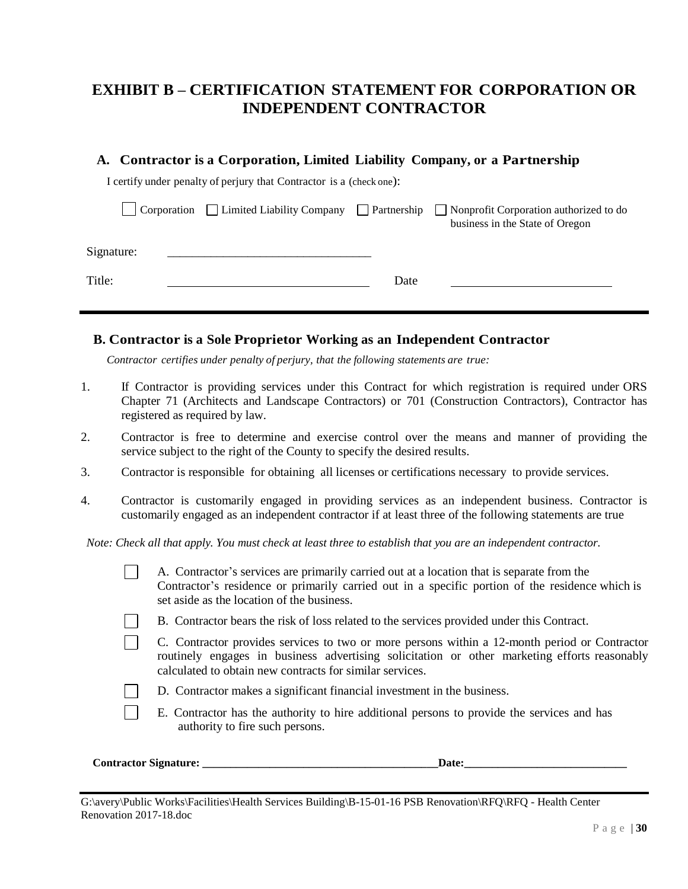## **EXHIBIT B – CERTIFICATION STATEMENT FOR CORPORATION OR INDEPENDENT CONTRACTOR**

| A. Contractor is a Corporation, Limited Liability Company, or a Partnership |  |  |  |
|-----------------------------------------------------------------------------|--|--|--|
|                                                                             |  |  |  |

I certify under penalty of perjury that Contractor is a (check one):

|            |  |      | $\Box$ Corporation $\Box$ Limited Liability Company $\Box$ Partnership $\Box$ Nonprofit Corporation authorized to do<br>business in the State of Oregon |
|------------|--|------|---------------------------------------------------------------------------------------------------------------------------------------------------------|
| Signature: |  |      |                                                                                                                                                         |
| Title:     |  | Date |                                                                                                                                                         |

#### **B. Contractor is a Sole Proprietor Working as an Independent Contractor**

*Contractor certifies under penalty of perjury, that the following statements are true:*

- 1. If Contractor is providing services under this Contract for which registration is required under ORS Chapter 71 (Architects and Landscape Contractors) or 701 (Construction Contractors), Contractor has registered as required by law.
- 2. Contractor is free to determine and exercise control over the means and manner of providing the service subject to the right of the County to specify the desired results.
- 3. Contractor is responsible for obtaining all licenses or certifications necessary to provide services.
- 4. Contractor is customarily engaged in providing services as an independent business. Contractor is customarily engaged as an independent contractor if at least three of the following statements are true

*Note: Check all that apply. You must check at least three to establish that you are an independent contractor.*

|                              | A. Contractor's services are primarily carried out at a location that is separate from the<br>Contractor's residence or primarily carried out in a specific portion of the residence which is<br>set aside as the location of the business.               |
|------------------------------|-----------------------------------------------------------------------------------------------------------------------------------------------------------------------------------------------------------------------------------------------------------|
|                              | B. Contractor bears the risk of loss related to the services provided under this Contract.                                                                                                                                                                |
|                              | C. Contractor provides services to two or more persons within a 12-month period or Contractor<br>routinely engages in business advertising solicitation or other marketing efforts reasonably<br>calculated to obtain new contracts for similar services. |
|                              | D. Contractor makes a significant financial investment in the business.                                                                                                                                                                                   |
|                              | E. Contractor has the authority to hire additional persons to provide the services and has<br>authority to fire such persons.                                                                                                                             |
| <b>Contractor Signature:</b> | Date:                                                                                                                                                                                                                                                     |

G:\avery\Public Works\Facilities\Health Services Building\B-15-01-16 PSB Renovation\RFQ\RFQ - Health Center Renovation 2017-18.doc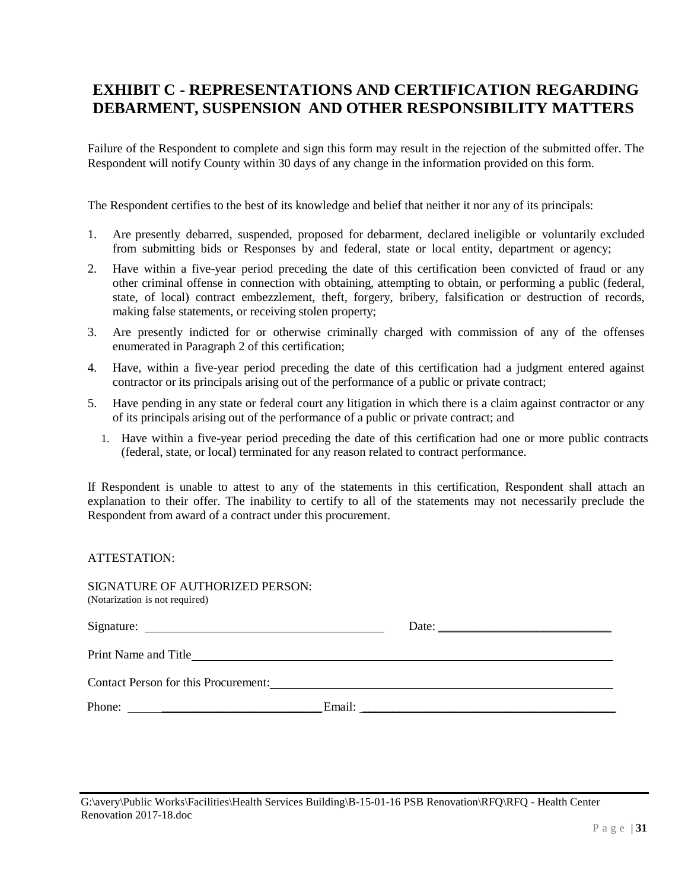## **EXHIBIT C - REPRESENTATIONS AND CERTIFICATION REGARDING DEBARMENT, SUSPENSION AND OTHER RESPONSIBILITY MATTERS**

Failure of the Respondent to complete and sign this form may result in the rejection of the submitted offer. The Respondent will notify County within 30 days of any change in the information provided on this form.

The Respondent certifies to the best of its knowledge and belief that neither it nor any of its principals:

- 1. Are presently debarred, suspended, proposed for debarment, declared ineligible or voluntarily excluded from submitting bids or Responses by and federal, state or local entity, department or agency;
- 2. Have within a five-year period preceding the date of this certification been convicted of fraud or any other criminal offense in connection with obtaining, attempting to obtain, or performing a public (federal, state, of local) contract embezzlement, theft, forgery, bribery, falsification or destruction of records, making false statements, or receiving stolen property;
- 3. Are presently indicted for or otherwise criminally charged with commission of any of the offenses enumerated in Paragraph 2 of this certification;
- 4. Have, within a five-year period preceding the date of this certification had a judgment entered against contractor or its principals arising out of the performance of a public or private contract;
- 5. Have pending in any state or federal court any litigation in which there is a claim against contractor or any of its principals arising out of the performance of a public or private contract; and
	- 1. Have within a five-year period preceding the date of this certification had one or more public contracts (federal, state, or local) terminated for any reason related to contract performance.

If Respondent is unable to attest to any of the statements in this certification, Respondent shall attach an explanation to their offer. The inability to certify to all of the statements may not necessarily preclude the Respondent from award of a contract under this procurement.

ATTESTATION:

| SIGNATURE OF AUTHORIZED PERSON:<br>(Notarization is not required) |  |                                                          |  |
|-------------------------------------------------------------------|--|----------------------------------------------------------|--|
|                                                                   |  | Date: $\frac{1}{\sqrt{1-\frac{1}{2}} \cdot \frac{1}{2}}$ |  |
|                                                                   |  |                                                          |  |
| Contact Person for this Procurement:                              |  |                                                          |  |
| Phone: $\frac{1}{\sqrt{1-\frac{1}{2}} \cdot \frac{1}{2}}$         |  |                                                          |  |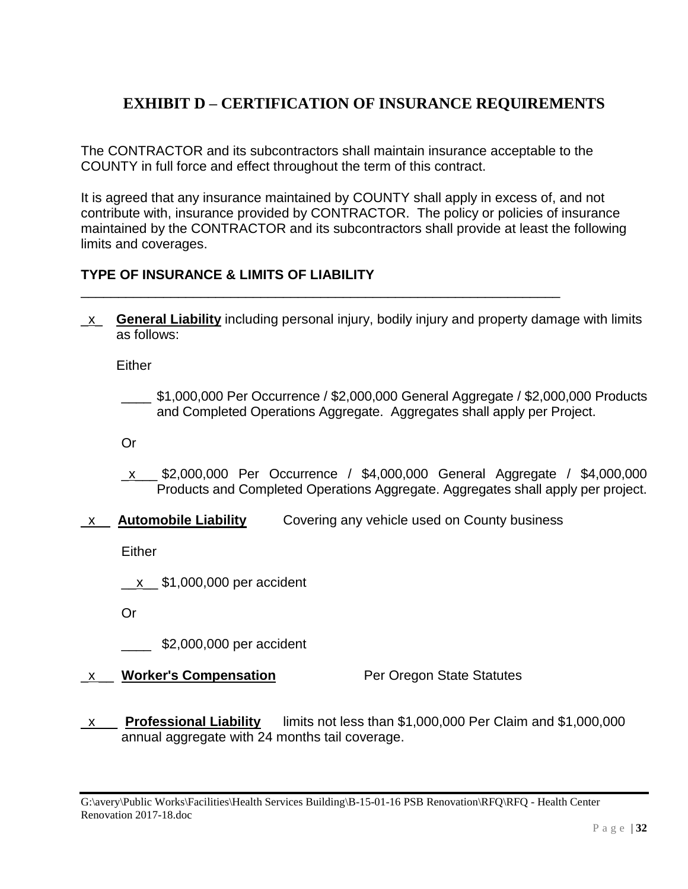# **EXHIBIT D – CERTIFICATION OF INSURANCE REQUIREMENTS**

The CONTRACTOR and its subcontractors shall maintain insurance acceptable to the COUNTY in full force and effect throughout the term of this contract.

\_\_\_\_\_\_\_\_\_\_\_\_\_\_\_\_\_\_\_\_\_\_\_\_\_\_\_\_\_\_\_\_\_\_\_\_\_\_\_\_\_\_\_\_\_\_\_\_\_\_\_\_\_\_\_\_\_\_\_\_\_\_\_\_

It is agreed that any insurance maintained by COUNTY shall apply in excess of, and not contribute with, insurance provided by CONTRACTOR. The policy or policies of insurance maintained by the CONTRACTOR and its subcontractors shall provide at least the following limits and coverages.

## **TYPE OF INSURANCE & LIMITS OF LIABILITY**

\_x\_ **General Liability** including personal injury, bodily injury and property damage with limits as follows:

**Either** 

\_\_\_\_ \$1,000,000 Per Occurrence / \$2,000,000 General Aggregate / \$2,000,000 Products and Completed Operations Aggregate. Aggregates shall apply per Project.

Or

- \_x\_\_\_ \$2,000,000 Per Occurrence / \$4,000,000 General Aggregate / \$4,000,000 Products and Completed Operations Aggregate. Aggregates shall apply per project.
- \_x\_\_ **Automobile Liability** Covering any vehicle used on County business

**Either** 

\_\_x\_\_ \$1,000,000 per accident

Or

\_\_\_\_ \$2,000,000 per accident

- **x** \_ **Worker's Compensation** Per Oregon State Statutes
- \_x\_\_\_ **Professional Liability** limits not less than \$1,000,000 Per Claim and \$1,000,000 annual aggregate with 24 months tail coverage.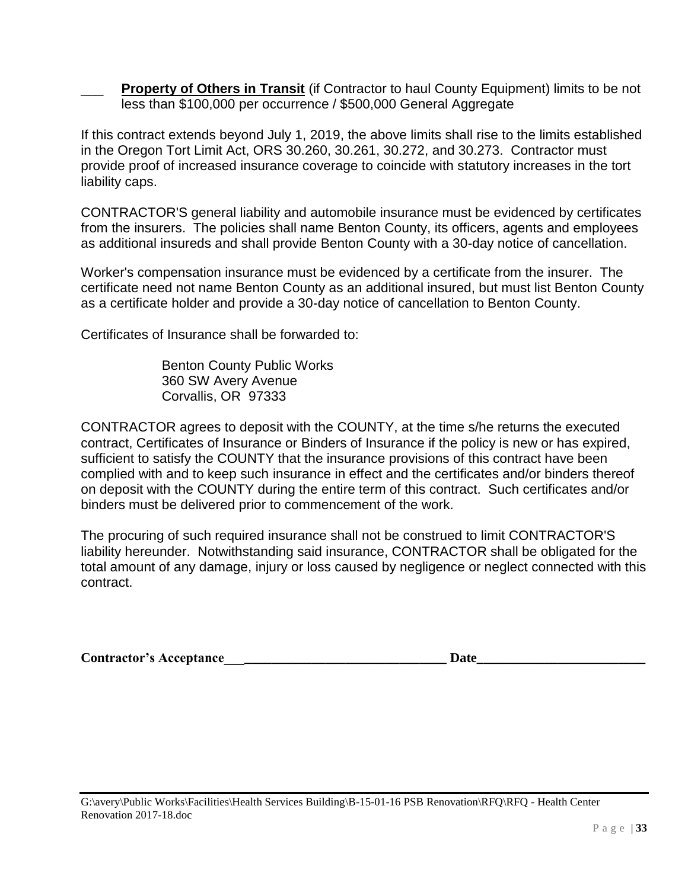**Property of Others in Transit** (if Contractor to haul County Equipment) limits to be not less than \$100,000 per occurrence / \$500,000 General Aggregate

If this contract extends beyond July 1, 2019, the above limits shall rise to the limits established in the Oregon Tort Limit Act, ORS 30.260, 30.261, 30.272, and 30.273. Contractor must provide proof of increased insurance coverage to coincide with statutory increases in the tort liability caps.

CONTRACTOR'S general liability and automobile insurance must be evidenced by certificates from the insurers. The policies shall name Benton County, its officers, agents and employees as additional insureds and shall provide Benton County with a 30-day notice of cancellation.

Worker's compensation insurance must be evidenced by a certificate from the insurer. The certificate need not name Benton County as an additional insured, but must list Benton County as a certificate holder and provide a 30-day notice of cancellation to Benton County.

Certificates of Insurance shall be forwarded to:

Benton County Public Works 360 SW Avery Avenue Corvallis, OR 97333

CONTRACTOR agrees to deposit with the COUNTY, at the time s/he returns the executed contract, Certificates of Insurance or Binders of Insurance if the policy is new or has expired, sufficient to satisfy the COUNTY that the insurance provisions of this contract have been complied with and to keep such insurance in effect and the certificates and/or binders thereof on deposit with the COUNTY during the entire term of this contract. Such certificates and/or binders must be delivered prior to commencement of the work.

The procuring of such required insurance shall not be construed to limit CONTRACTOR'S liability hereunder. Notwithstanding said insurance, CONTRACTOR shall be obligated for the total amount of any damage, injury or loss caused by negligence or neglect connected with this contract.

| <b>Contractor's Acceptance</b> |  |
|--------------------------------|--|
|                                |  |